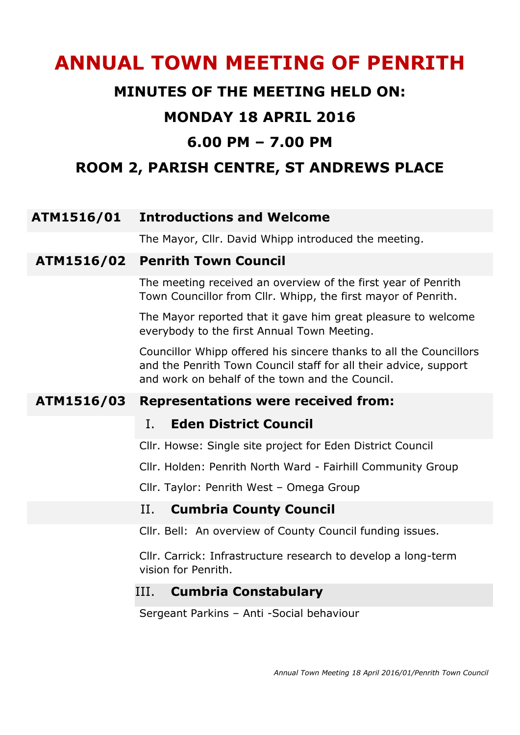# **ANNUAL TOWN MEETING OF PENRITH**

## **MINUTES OF THE MEETING HELD ON:**

## **MONDAY 18 APRIL 2016**

# **6.00 PM – 7.00 PM**

# **ROOM 2, PARISH CENTRE, ST ANDREWS PLACE**

## **ATM1516/01 Introductions and Welcome**

The Mayor, Cllr. David Whipp introduced the meeting.

#### **ATM1516/02 Penrith Town Council**

The meeting received an overview of the first year of Penrith Town Councillor from Cllr. Whipp, the first mayor of Penrith.

The Mayor reported that it gave him great pleasure to welcome everybody to the first Annual Town Meeting.

Councillor Whipp offered his sincere thanks to all the Councillors and the Penrith Town Council staff for all their advice, support and work on behalf of the town and the Council.

## **ATM1516/03 Representations were received from:**

#### I. **Eden District Council**

Cllr. Howse: Single site project for Eden District Council

Cllr. Holden: Penrith North Ward - Fairhill Community Group

Cllr. Taylor: Penrith West – Omega Group

#### II. **Cumbria County Council**

Cllr. Bell: An overview of County Council funding issues.

Cllr. Carrick: Infrastructure research to develop a long-term vision for Penrith.

#### III. **Cumbria Constabulary**

Sergeant Parkins – Anti -Social behaviour